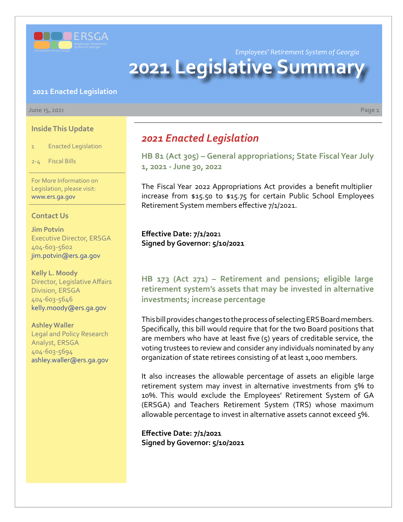

*Employees' Retirement System of Georgia*

# **2021 Legislative Summar**

### **2021 Enacted Legislation**

#### **June 15, 2021 Page 1**

### **Inside This Update**

- 1 Enacted Legislation
- 2-4 Fiscal Bills

For More Information on Legislation, please visit: www.ers.ga.gov

### **Contact Us**

**Jim Potvin** Executive Director, ERSGA 404-603-5602 jim.potvin@ers.ga.gov

**Kelly L. Moody** Director, Legislative Affairs Division, ERSGA 404-603-5646 kelly.moody@ers.ga.gov

#### **Ashley Waller**

Legal and Policy Research Analyst, ERSGA 404-603-5694 ashley.waller@ers.ga.gov

# *2021 Enacted Legislation*

**[HB 81 \(Act 305\)](https://www.legis.ga.gov/legislation/58911) [–](http://www.legis.ga.gov/legislation/en-US/Display/20172018/HB/135) [General appropriations; State Fiscal Year July](https://www.legis.ga.gov/legislation/58911)  1, 2021 - June 30, 2022**

The Fiscal Year 2022 Appropriations Act provides a benefit multiplier increase from \$15.50 to \$15.75 for certain Public School Employees Retirement System members effective 7/1/2021.

**Effective Date: 7/1/202**1 **Signed by Governor: 5/10/2021**

# **HB 173 (Act 271) [–](http://www.legis.ga.gov/legislation/en-US/Display/20172018/HB/684) Retirement and pensions; eligible large [retirement system's assets that may be invested in alternative](https://www.legis.ga.gov/legislation/59095)  investments; increase percentage**

This bill provides changes to the process of selecting ERS Board members. Specifically, this bill would require that for the two Board positions that are members who have at least five (5) years of creditable service, the voting trustees to review and consider any individuals nominated by any organization of state retirees consisting of at least 1,000 members.

It also increases the allowable percentage of assets an eligible large retirement system may invest in alternative investments from 5% to 10%. This would exclude the Employees' Retirement System of GA (ERSGA) and Teachers Retirement System (TRS) whose maximum allowable percentage to invest in alternative assets cannot exceed 5%.

**Effective Date: 7/1/2021 Signed by Governor: 5/10/2021**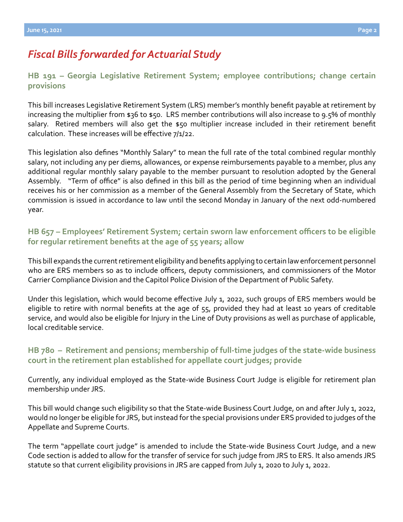# *Fiscal Bills forwarded for Actuarial Study*

## **[HB 191](https://www.legis.ga.gov/legislation/59115) – [Georgia Legislative Retirement System; employee contributions; change certain](https://www.legis.ga.gov/legislation/59115)  provisions**

This bill increases Legislative Retirement System (LRS) member's monthly benefit payable at retirement by increasing the multiplier from \$36 to \$50. LRS member contributions will also increase to 9.5% of monthly salary. Retired members will also get the \$50 multiplier increase included in their retirement benefit calculation. These increases will be effective 7/1/22.

This legislation also defines "Monthly Salary" to mean the full rate of the total combined regular monthly salary, not including any per diems, allowances, or expense reimbursements payable to a member, plus any additional regular monthly salary payable to the member pursuant to resolution adopted by the General Assembly. "Term of office" is also defined in this bill as the period of time beginning when an individual receives his or her commission as a member of the General Assembly from the Secretary of State, which commission is issued in accordance to law until the second Monday in January of the next odd-numbered year.

# **[HB 657](https://www.legis.ga.gov/legislation/60125) – [Employees' Retirement System; certain sworn law enforcement officers to be eligible](https://www.legis.ga.gov/legislation/60125)  for regular retirement benefits at the age of 55 years; allow**

This bill expands the current retirement eligibility and benefits applying to certain law enforcement personnel who are ERS members so as to include officers, deputy commissioners, and commissioners of the Motor Carrier Compliance Division and the Capitol Police Division of the Department of Public Safety.

Under this legislation, which would become effective July 1, 2022, such groups of ERS members would be eligible to retire with normal benefits at the age of 55, provided they had at least 10 years of creditable service, and would also be eligible for Injury in the Line of Duty provisions as well as purchase of applicable, local creditable service.

# **[HB 780 – Retirement and pensions; membership of full-time judges of the state-wide business](https://www.legis.ga.gov/legislation/60559)  court in the retirement plan established for appellate court judges; provide**

Currently, any individual employed as the State-wide Business Court Judge is eligible for retirement plan membership under JRS.

This bill would change such eligibility so that the State-wide Business Court Judge, on and after July 1, 2022, would no longer be eligible for JRS, but instead for the special provisions under ERS provided to judges of the Appellate and Supreme Courts.

The term "appellate court judge" is amended to include the State-wide Business Court Judge, and a new Code section is added to allow for the transfer of service for such judge from JRS to ERS. It also amends JRS statute so that current eligibility provisions in JRS are capped from July 1, 2020 to July 1, 2022.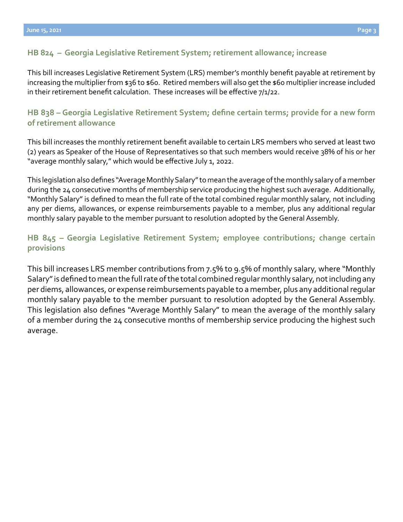### **[HB 824 – Georgia Legislative Retirement System; retirement allowance; increase](https://www.legis.ga.gov/legislation/60709)**

This bill increases Legislative Retirement System (LRS) member's monthly benefit payable at retirement by increasing the multiplier from \$36 to \$60. Retired members will also get the \$60 multiplier increase included in their retirement benefit calculation. These increases will be effective 7/1/22.

### **[HB 838](https://www.legis.ga.gov/legislation/60801) – [Georgia Legislative Retirement System; define certain terms; provide for a new form](https://www.legis.ga.gov/legislation/60801)  of retirement allowance**

This bill increases the monthly retirement benefit available to certain LRS members who served at least two (2) years as Speaker of the House of Representatives so that such members would receive 38% of his or her "average monthly salary," which would be effective July 1, 2022.

This legislation also defines "Average Monthly Salary" to mean the average of the monthly salary of a member during the 24 consecutive months of membership service producing the highest such average. Additionally, "Monthly Salary" is defined to mean the full rate of the total combined regular monthly salary, not including any per diems, allowances, or expense reimbursements payable to a member, plus any additional regular monthly salary payable to the member pursuant to resolution adopted by the General Assembly.

# **[HB 845](https://www.legis.ga.gov/legislation/60861) – [Georgia Legislative Retirement System; employee contributions; change certain](https://www.legis.ga.gov/legislation/60861)  provisions**

This bill increases LRS member contributions from 7.5% to 9.5% of monthly salary, where "Monthly Salary" is defined to mean the full rate of the total combined regular monthly salary, not including any per diems, allowances, or expense reimbursements payable to a member, plus any additional regular monthly salary payable to the member pursuant to resolution adopted by the General Assembly. This legislation also defines "Average Monthly Salary" to mean the average of the monthly salary of a member during the 24 consecutive months of membership service producing the highest such average.